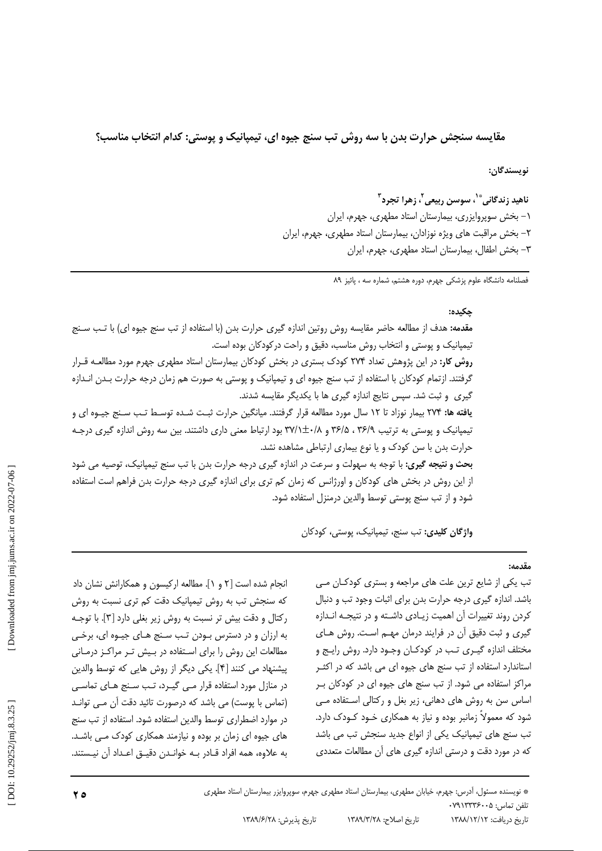مقایسه سنجش حرارت بدن با سه روش تب سنج جیوه ای، تیمیانیک و پوستی: کدام انتخاب مناسب؟

نويسندگان:

ناهيد زندگاني ٌ '، سوسن ربيعي '، زهرا تجرد ؓ ۰۱– بخش سویروایزری، بیمارستان استاد مطهری، جهرم، ایران ٢- بخش مراقبت های ویژه نوزادان، بیمارستان استاد مطهری، جهرم، ایران ٣- بخش اطفال، بيمارستان استاد مطهري، جهرم، ايران

فصلنامه دانشگاه علوم پزشکی جهرم، دوره هشتم، شماره سه ، پائیز ۸۹

## حكىدە:

مقدمه: هدف از مطالعه حاضر مقايسه روش روتين اندازه گيري حرارت بدن (با استفاده از تب سنج جيوه اي) با تب سـنج تیمیانیک و پوستی و انتخاب روش مناسب، دقیق و راحت در کودکان بوده است. روش کار: در این پژوهش تعداد ۲۷۴ کودک بستری در بخش کودکان بیمارستان استاد مطهری جهرم مورد مطالعـه قـرار گرفتند. ازتمام کودکان با استفاده از تب سنج جیوه ای و تیمپانیک و پوستی به صورت هم زمان درجه حرارت بـدن انـدازه گیری و ثبت شد. سیس نتایج اندازه گیری ها با یکدیگر مقایسه شدند. **یافته ها: ۲۷۴** بیمار نوزاد تا ۱۲ سال مورد مطالعه قرار گرفتند. میانگین حرارت ثبت شـده توسـط تـب سـنج جیـوه ای و تیمیانیک و پوستی به ترتیب ۳۶/۹، ۳۶/۵ و ۳۷/۱±۰/۸ بود ارتباط معنی داری داشتند. بین سه روش اندازه گیری درجـه حرارت بدن با سن کودک و یا نوع بیماری ارتباطی مشاهده نشد. بحث و نتیجه گیری: با توجه به سهولت و سرعت در اندازه گیری درجه حرارت بدن با تب سنج تیمیانیک، توصیه می شود از این روش در بخش های کودکان و اورژانس که زمان کم تری برای اندازه گیری درجه حرارت بدن فراهم است استفاده شود و از تب سنج یوستی توسط والدین درمنزل استفاده شود.

واژگان کلیدی: تب سنج، تیمپانیک، پوستی، کودکان

# $4.19.$

تب یکی از شایع ترین علت های مراجعه و بستری کودکان می باشد. اندازه گیری درجه حرارت بدن برای اثبات وجود تب و دنبال كردن روند تغييرات آن اهميت زيـادي داشـته و در نتيجـه انـدازه گیری و ثبت دقیق آن در فرایند درمان مهـم اسـت. روش هـای مختلف اندازه گیـری تـب در کودکـان وجـود دارد. روش رایـج و استاندارد استفاده از تب سنج های جیوه ای می باشد که در اکثـر مراکز استفاده می شود. از تب سنج های جیوه ای در کودکان ب اساس سن به روش های دهانی، زیر بغل و رکتالی استفاده می شود که معمولاً زمانبر بوده و نیاز به همکاری خــود کــودک دارد. تب سنج های تیمپانیک یکی از انواع جدید سنجش تب می باشد که در مورد دقت و درستی اندازه گیری های آن مطالعات متعددی

انجام شده است [۲ و ۱]. مطالعه ارکیسون و همکارانش نشان داد که سنجش تب به روش تیمپانیک دقت کم تری نسبت به روش رکتال و دقت بیش تر نسبت به روش زیر بغلی دارد [۳]. با توجـه به ارزان و در دسترس بودن تب سنج هـای جیـوه ای، برخـی مطالعات این روش را برای استفاده در بیش تـر مراکـز درمـانی پیشنهاد می کنند [۴]. یکی دیگر از روش هایی که توسط والدین در منازل مورد استفاده قرار مے گیرد، تب سنج هـای تماسـی (تماس با یوست) می باشد که درصورت تائید دقت آن مے توانـد در موارد اضطراری توسط والدین استفاده شود. استفاده از تب سنج های جیوه ای زمان بر بوده و نیازمند همکاری کودک مـی باشـد. به علاوه، همه افراد قـادر بـه خوانـدن دقيـق اعـداد آن نيـستند.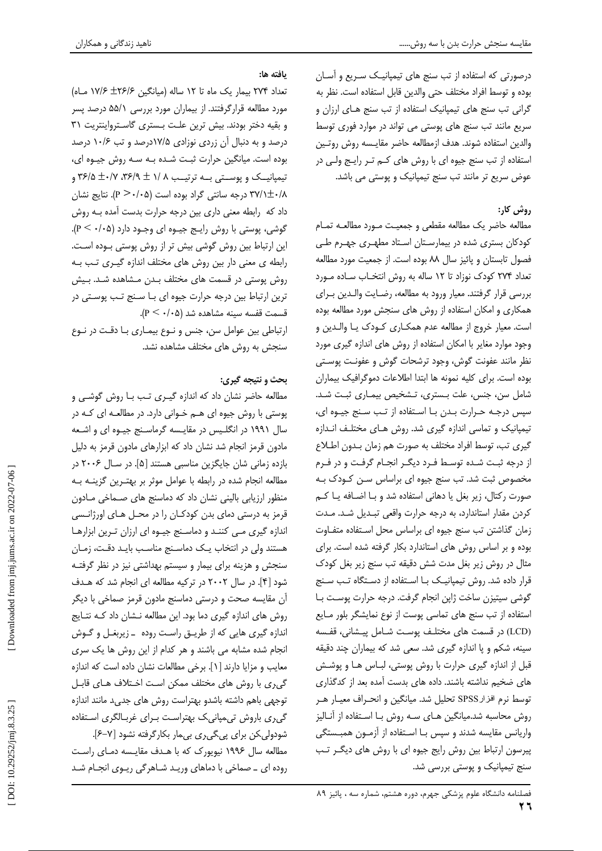درصورتی که استفاده از تب سنج های تیمپانیک سـریع و آسـان بوده و توسط افراد مختلف حتى والدين قابل استفاده است. نظر به گرانی تب سنج های تیمیانیک استفاده از تب سنج هـای ارزان و سریع مانند تب سنج های پوستی می تواند در موارد فوری توسط والدين استفاده شوند. هدف ازمطالعه حاضر مقايسه روش روتين استفاده از تب سنج جیوه ای با روش های کـم تـر رایـج ولـی در عوض سریع تر مانند تب سنج تیمپانیک و پوستی می باشد.

# روش کار:

مطالعه حاضر يك مطالعه مقطعى و جمعيت مورد مطالعـه تمـام کودکان بستری شده در بیمارستان استاد مطهـری جهـرم طـی فصول تابستان و پائيز سال ٨٨ بوده است. از جمعيت مورد مطالعه تعداد ٢٧۴ كودك نوزاد تا ١٢ ساله به روش انتخـاب سـاده مـورد بررسی قرار گرفتند. معیار ورود به مطالعه، رضـایت والـدین بـرای همکاری و امکان استفاده از روش های سنجش مورد مطالعه بوده است. معیار خروج از مطالعه عدم همکـاری کـودک یـا والـدین و وجود موارد مغایر با امکان استفاده از روش های اندازه گیری مورد نظر مانند عفونت گوش، وجود ترشحات گوش و عفونت پوستی بوده است. برای کلیه نمونه ها ابتدا اطلاعات دموگرافیک بیماران شامل سن، جنس، علت بـسترى، تـشخيص بيمـارى ثبـت شـد. سپس درجه حرارت بدن با استفاده از تب سنج جیوه ای، تیمپانیک و تماسی اندازه گیری شد. روش هـای مختلـف انـدازه گیری تب، توسط افراد مختلف به صورت هم زمان بدون اطلاع از درجه ثبت شده توسط فرد دیگر انجام گرفت و در فرم مخصوص ثبت شد. تب سنج جیوه ای براساس سـن کـودک بـه صورت رکتال، زیر بغل یا دهانی استفاده شد و بـا اضـافه یـا کـم كردن مقدار استاندارد، به درجه حرارت واقعى تبديل شد. مدت زمان گذاشتن تب سنج جیوه ای براساس محل استفاده متفاوت بوده و بر اساس روش های استاندارد بکار گرفته شده است. برای مثال در روش زیر بغل مدت شش دقیقه تب سنج زیر بغل کودک قرار داده شد. روش تیمپانیک با استفاده از دستگاه تب سنج گوشی سیتیزن ساخت ژاپن انجام گرفت. درجه حرارت پوست با استفاده از تب سنج های تماسی یوست از نوع نمایشگر بلور مـایع (LCD) در قسمت های مختلف پوست شـامل پیـشانی، قفـسه سینه، شکم و یا اندازه گیری شد. سعی شد که بیماران چند دقیقه قبل از اندازه گیری حرارت با روش پوستی، لبـاس هـا و پوشـش های ضخیم نداشته باشند. داده های بدست آمده بعد از کدگذاری توسط نرم افزار SPSS تحلیل شد. میانگین و انحـراف معیـار هـر روش محاسبه شد.میانگین هـای سـه روش بـا اسـتفاده از آنـالیز واریانس مقایسه شدند و سپس بـا اسـتفاده از آزمـون همبـستگی پیرسون ارتباط بین روش رایج جیوه ای با روش های دیگر تب سنج تیمپانیک و پوستی بررسی شد.

يافته ها:

تعداد ۲۷۴ بیمار یک ماه تا ۱۲ ساله (میانگین ۲۶/۶± ۱۷/۶ مـاه) مورد مطالعه قرارگرفتند. از بیماران مورد بررسی ۵۵/۱ درصد پسر و بقیه دختر بودند. بیش ترین علت بستری گاسترواینتریت ٣١ درصد و به دنبال آن زردی نوزادی ۱۷/۵درصد و تب ۱۰/۶ درصد بوده است. میانگین حرارت ثبت شده به سه روش جیوه ای، تیمپانیــک و پوســتی بــه ترتیــب ۱/ X + X۶/۵ ± ۰/۷ و ۳۶/۵ ۳۷/۱±۰/۸ درجه سانتی گراد بوده است (۱۰۵-۶۰). نتایج نشان داد که رابطه معنی داری بین درجه حرارت بدست آمده بـه روش گوشي، پوستي با روش رايـج جيـوه اي وجـود دارد (۲۰۵-۰۶). این ارتباط بین روش گوشی بیش تر از روش پوستی بوده است. رابطه ی معنی دار بین روش های مختلف اندازه گیری تب بـه روش پوستی در قسمت های مختلف بـدن مـشاهده شـد. بـیش ترین ارتباط بین درجه حرارت جیوه ای بـا سـنج تـب پوسـتی در قسمت قفسه سينه مشاهده شد (p <  $\cdot$ /۰۵). ارتباطی بین عوامل سن، جنس و نوع بیمـاری بـا دقـت در نـوع سنجش به روش های مختلف مشاهده نشد.

# بحث و نتیجه گیری:

مطالعه حاضر نشان داد که اندازه گیری تب بـا روش گوشــی و پوستی با روش جیوه ای هم خوانی دارد. در مطالعه ای که در سال ۱۹۹۱ در انگلیس در مقایسه گرماسنج جیوه ای و اشعه مادون قرمز انجام شد نشان داد که ابزارهای مادون قرمز به دلیل بازده زمانی شان جایگزین مناسبی هستند [۵]. در سـال ۲۰۰۶ در مطالعه انجام شده در رابطه با عوامل موثر بر بهتـرین گزینــه بــه منظور ارزیابی بالینی نشان داد که دماسنج های صـماخی مـادون قرمز به درستی دمای بدن کودکـان را در محـل هـای اورژانـسی اندازه گیری می کنند و دماسنج جیوه ای ارزان ترین ابزارها هستند ولی در انتخاب یـک دماسـنج مناسـب بایـد دقـت، زمـان سنجش و هزینه برای بیمار و سیستم بهداشتی نیز در نظر گرفتـه شود [۴]. در سال ۲۰۰۲ در ترکیه مطالعه ای انجام شد که هـدف آن مقايسه صحت و درستي دماسنج مادون قرمز صماخي با ديگر روش های اندازه گیری دما بود. این مطالعه نـشان داد کـه نتـایج اندازه گیری هایی که از طریـق راسـت روده \_زیربغـل و گـوش انجام شده مشابه می باشند و هر کدام از این روش ها یک سری معايب و مزايا دارند [١]. برخي مطالعات نشان داده است كه اندازه گیری با روش های مختلف ممکن است اختلاف هـای قابـل توجهی باهم داشته باشدو بهتراست روش های جدید مانند اندازه گیری باروش تی میانی ک بهتراست برای غربالگری استفاده شودولی کن برای پیگیری بی مار بکارگرفته نشود [۷–۶]. مطالعه سال ۱۹۹۶ نیویورک که با هـدف مقایـسه دمـای راسـت روده ای \_ صماخی با دماهای ورید شاهرگی ریوی انجام شد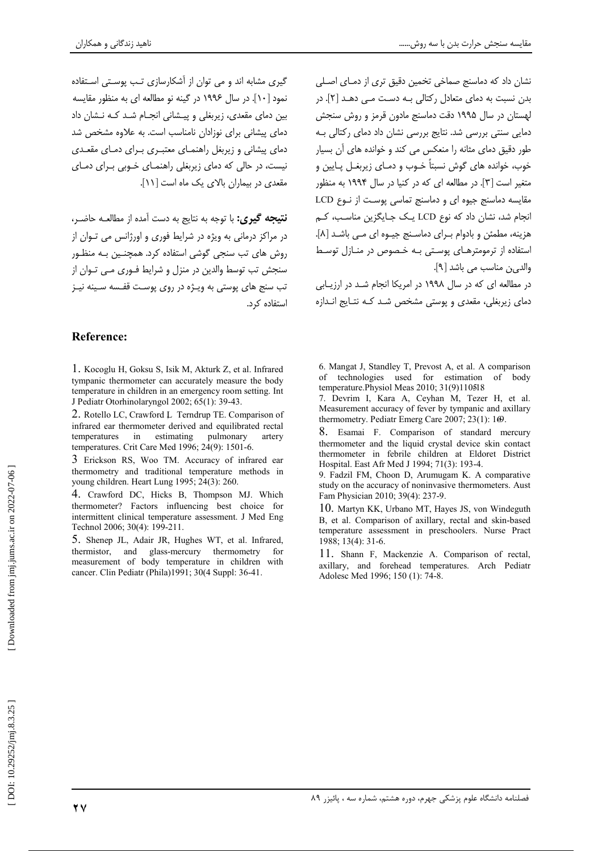نشان داد که دماسنج صماخی تخمین دقیق تری از دمـای اصـلی بدن نسبت به دمای متعادل رکتالی بـه دسـت مـی دهـد [۲]. در لهستان در سال ۱۹۹۵ دقت دماسنج مادون قرمز و روش سنجش دمایی سنتی بررسی شد. نتایج بررسی نشان داد دمای رکتالی بـه طور دقیق دمای مثانه را منعکس می کند و خوانده های آن بسیار خوب، خوانده های گوش نسبتاً خـوب و دمـای زیربغـل پـایین و متغیر است [۳]. در مطالعه ای که در کنیا در سال ۱۹۹۴ به منظور مقایسه دماسنج جیوه ای و دماسنج تماسی پوست از نوع LCD انجام شد، نشان داد که نوع LCD یـک جـایگزین مناسـب، کـم هزينه، مطمئن و بادوام بـراي دماسـنج جيـوه اي مـي باشـد [٨]. استفاده از ترمومترهـای یوسـتی بـه خـصوص در منـازل توسـط والد<sub>ى ب</sub>ن مناسب مى باشد [٩].

در مطالعه ای که در سال ۱۹۹۸ در امریکا انجام شـد در ارزیـابی دمای زیربغلی، مقعدی و پوستی مشخص شد کـه نتـایج انـدازه

گیری مشابه اند و می توان از آشکارسازی تب بوستی استفاده نمود [۱۰]. در سال ۱۹۹۶ در گینه نو مطالعه ای به منظور مقایسه بین دمای مقعدی، زیربغلی و پیشانی انجـام شـد کـه نـشان داد دمای بیشانی برای نوزادان نامناسب است. به علاوه مشخص شد دمای پیشانی و زیربغل راهنمـای معتبـری بـرای دمـای مقعـدی نیست، در حالی که دمای زیربغلی راهنمـای خـوبی بـرای دمـای مقعدی در بیماران بالای یک ماه است [۱۱].

**نتيجه گيري:** با توجه به نتايج به دست آمده از مطالعـه حاضـر، در مراکز درمانی به ویژه در شرایط فوری و اورژانس می توان از روش های تب سنجی گوشی استفاده کرد. همچنین بـه منظـور سنجش تب توسط والدین در منزل و شرایط فـوری مـی تـوان از تب سنج های پوستی به ویـژه در روی پوسـت قفـسه سـینه نیـز استفاده کر د.

# **Reference:**

1. Kocoglu H, Goksu S, Isik M, Akturk Z, et al. Infrared tympanic thermometer can accurately measure the body temperature in children in an emergency room setting. Int J Pediatr Otorhinolaryngol 2002; 65(1): 39-43.

2. Rotello LC, Crawford L Terndrup TE, Comparison of infrared ear thermometer derived and equilibrated rectal pulmonary temperatures  $in$ estimating artery temperatures. Crit Care Med 1996; 24(9): 1501-6.

3 Erickson RS, Woo TM. Accuracy of infrared ear thermometry and traditional temperature methods in voung children. Heart Lung 1995; 24(3): 260.

4. Crawford DC, Hicks B, Thompson MJ. Which thermometer? Factors influencing best choice for intermittent clinical temperature assessment. J Med Eng Technol 2006; 30(4): 199-211.

5. Shenep JL, Adair JR, Hughes WT, et al. Infrared, thermistor, and glass-mercury thermometry  $f$  or measurement of body temperature in children with cancer. Clin Pediatr (Phila)1991; 30(4 Suppl: 36-41.

6. Mangat J, Standley T, Prevost A, et al. A comparison of technologies used for estimation of body temperature. Physiol Meas 2010; 31(9)110518

7. Devrim I, Kara A, Ceyhan M, Tezer H, et al. Measurement accuracy of fever by tympanic and axillary thermometry. Pediatr Emerg Care 2007; 23(1):  $1\Theta$ .

8. Esamai F. Comparison of standard mercury thermometer and the liquid crystal device skin contact thermometer in febrile children at Eldoret District Hospital. East Afr Med J 1994; 71(3): 193-4.

9. Fadzil FM, Choon D, Arumugam K. A comparative study on the accuracy of noninvasive thermometers. Aust Fam Physician 2010; 39(4): 237-9.

10. Martyn KK, Urbano MT, Hayes JS, von Windeguth B. et al. Comparison of axillary, rectal and skin-based temperature assessment in preschoolers. Nurse Pract 1988; 13(4): 31-6.

11. Shann F, Mackenzie A. Comparison of rectal, axillary and forehead temperatures. Arch Pediatr Adolesc Med 1996; 150 (1): 74-8.